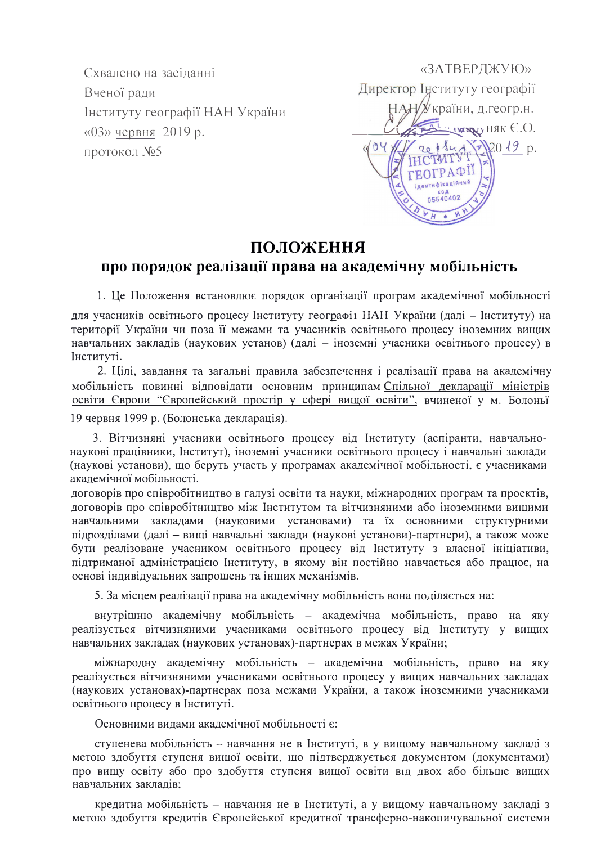Схвалено на засіланні Вченої ради Інституту географії НАН України «03» червня 2019 р. протокол №5

«ЗАТВЕРДЖУЮ» Директор Інституту географії України, д.геогр.н. USERV HAK E.O.  $104$ 20 \$ Sud \x\20 19 p. PADII **ідентифікаційний** 05540402

## ПОЛОЖЕННЯ

## про порядок реалізації права на академічну мобільність

1. Це Положення встановлює порядок організації програм академічної мобільності

для учасників освітнього процесу Інституту географії НАН України (далі - Інституту) на території України чи поза її межами та учасників освітнього процесу іноземних вищих навчальних закладів (наукових установ) (далі - іноземні учасники освітнього процесу) в Інституті.

2. Цілі, завдання та загальні правила забезпечення і реалізації права на академічну мобільність повинні відповідати основним принципам Спільної декларації міністрів освіти Європи "Європейський простір у сфері вищої освіти", вчиненої у м. Болоньї

19 червня 1999 р. (Болонська декларація).

3. Вітчизняні учасники освітнього процесу від Інституту (аспіранти, навчальнонаукові працівники, Інститут), іноземні учасники освітнього процесу і навчальні заклади (наукові установи), що беруть участь у програмах академічної мобільності, є учасниками акалемічної мобільності.

договорів про співробітництво в галузі освіти та науки, міжнародних програм та проектів, договорів про співробітництво між Інститутом та вітчизняними або іноземними вищими навчальними закладами (науковими установами) та їх основними структурними підрозділами (далі - вищі навчальні заклади (наукові установи)-партнери), а також може бути реалізоване учасником освітнього процесу від Інституту з власної ініціативи, підтриманої адміністрацією Інституту, в якому він постійно навчається або працює, на основі індивідуальних запрошень та інших механізмів.

5. За місцем реалізації права на академічну мобільність вона поділяється на:

внутрішню академічну мобільність - академічна мобільність, право на яку реалізується вітчизняними учасниками освітнього процесу від Інституту у вищих навчальних закладах (наукових установах)-партнерах в межах України;

міжнародну академічну мобільність - академічна мобільність, право на яку реалізується вітчизняними учасниками освітнього процесу у вищих навчальних закладах (наукових установах)-партнерах поза межами України, а також іноземними учасниками освітнього процесу в Інституті.

Основними вилами акалемічної мобільності є:

ступенева мобільність - навчання не в Інституті, в у вищому навчальному закладі з метою здобуття ступеня вищої освіти, що підтверджується документом (документами) про вищу освіту або про здобуття ступеня вищої освіти від двох або більше вищих навчальних закладів:

кредитна мобільність - навчання не в Інституті, а у вищому навчальному закладі з метою здобуття кредитів Європейської кредитної трансферно-накопичувальної системи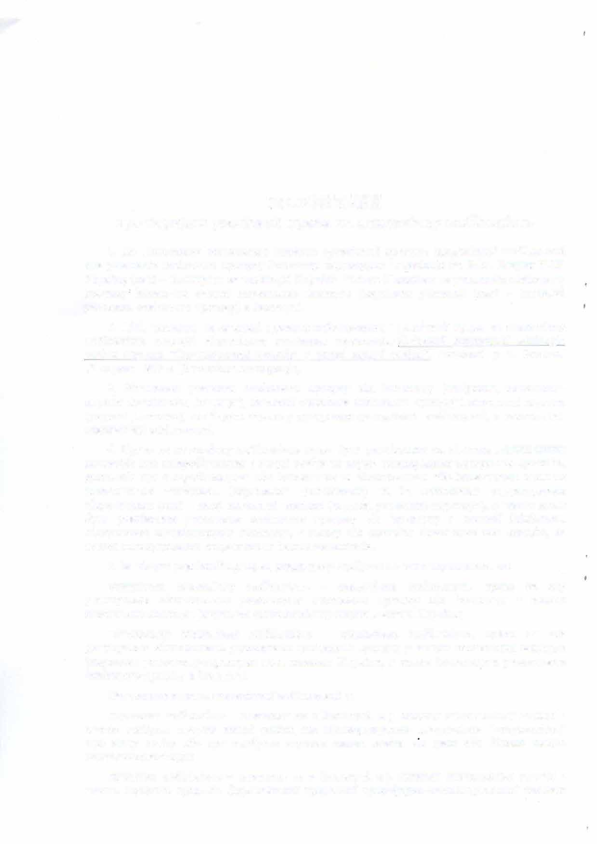## TROUGH LIFE

## පාලන්දෙන්නට අනුවරයාව ග්රහරය හා ආකාරයේ සහෝධියන්ගියා

L Re Junemary entenancy topics: Avenue Intern analyzing to Chroni govynanské pedagona uprapaj Denemy algybojna i rusklada je šírku šlove T-18 PATRO ROSO R PUDI EMERICA INTER ROSENO PRINCIPALIZAT - INFRAN SANDARE SON RESTS REMARK & DRIVING

i Jill, taraje: kapani nyantariyanya masa markai nyan sa masukuy officialize should flams been anchored researched signs the very final signs Андже КРы Зтакомпонизумун,

2. Этомые россия лежания средит бл. Белинду раздения, неоколог problem should since the control of the control of the control of the single several and the second control of the control of the control of the second control of the second control of the control of the control of the control of the control of the control of the control of the control of the control of th comercing substances.

respective that considerational collected performal angles procedulating automotive spectrum, grave of the council ballow we began them there are the contractive terms tentions to contact the control of the control control of ර්ථමේ විශාලය මගේ - මෙන් ගෙනා මේ - හිටියන් විශාලයින් අප මොරු සිදු සහ විට ගැටු ද පහත ගෙනව An publicity process without spage at teacher r burgh idding. TORY LONDING RISK STANDARD DESIGN COMPA

li ke tinyat popikatif ngunpat paga ang nyaponi no serang ng nata. se

everyone shanking authority - entering referent you in my paramentang administration payawang parangang parabat ata hot book o maanda metro di Batton, Argeben estatuta i appointo verta Tutalia.

ja papalen alamatasana yawar was makaza la manja ya mata matumisia wasaya (Separan provoso, panjantojn) dan central Higalici, e mana bandalje i grandador

Persons reading and with said p

 $\sim$  , the contraction of the contract  $\sim$  . The contract of  $\sim$ tipo senze ancho allo can marfornio regional nacioni anche via guerri ese Pizzuzi nazioni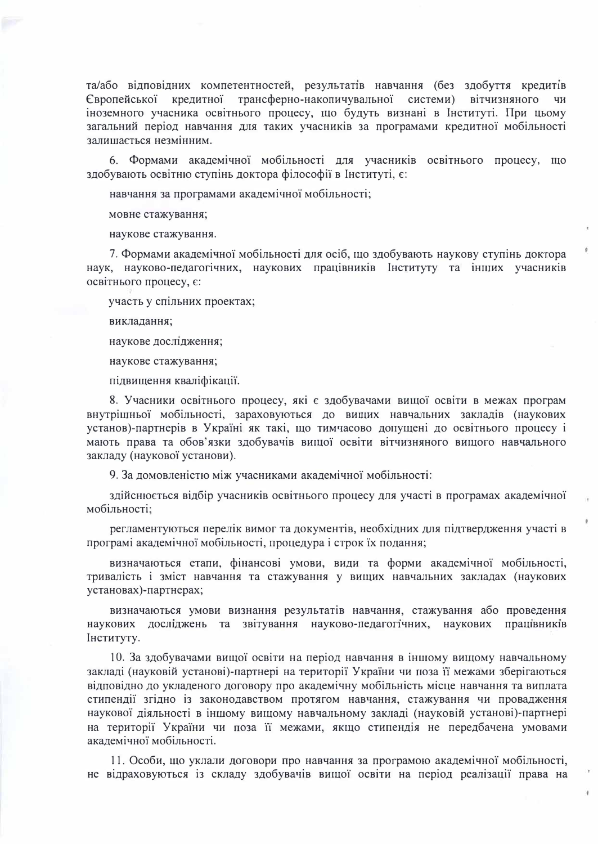та/або відповідних компетентностей, результатів навчання (без здобуття кредитів Європейської кредитної трансферно-накопичувальної системи) вітчизняного чи іноземного учасника освітнього процесу, цю будуть визнані в Інституті. При цьому загальний період навчання для таких учасників за програмами кредитної мобільності залишається незмінним.

6. Формами академічної мобільності для учасників освітнього процесу, що здобувають освітню ступінь доктора філософії в Інституті, є:

навчання за програмами академічної мобільності;

мовне стажування;

наукове стажування.

7. Формами академічної мобільності для осіб, що здобувають наукову ступінь доктора наук, науково-педагогічних, наукових працівників Інституту та інших учасників освітнього процесу, є:

участь у спільних проектах;

викладання;

наукове дослідження;

наукове стажування;

підвищення кваліфікації.

8. Учасники освітнього процесу, які є здобувачами вищої освіти в межах програм внутрішньої мобільності, зараховуються до вищих навчальних закладів (наукових установ)-партнерів в Україні як такі, що тимчасово допущені до освітнього процесу і мають права та обов'язки здобувачів вищої освіти вітчизняного вищого навчального закладу (наукової установи).

9. За домовленістю між учасниками академічної мобільності:

здійснюється відбір учасників освітнього процесу для участі в програмах академічної мобільності;

регламентуються перелік вимог та документів, необхідних для підтвердження участі в програмі академічної мобільності, процедура і строк їх подання;

визначаються етапи, фінансові умови, види та форми академічної мобільності, тривалість і зміст навчання та стажування у вищих навчальних закладах (наукових установах)-партнерах;

визначаються умови визнання результатів навчання, стажування або проведення наукових досліджень та звітування науково-педагогічних, наукових працівників Інституту.

10. За здобувачами вищої освіти на період навчання в іншому вищому навчальному закладі (науковій установі)-партнері на території України чи поза її межами зберігаються відповідно до укладеного договору про академічну мобільність місце навчання та виплата стипендії згідно із законодавством протягом навчання, стажування чи провадження наукової діяльності в іншому вищому навчальному закладі (науковій установі)-партнері на території України чи поза її межами, якщо стипендія не передбачена умовами академічної мобільності.

11. Особи, що уклали договори про навчання за програмою академічної мобільності, не відраховуються із складу здобувачів вищої освіти на період реалізації права на